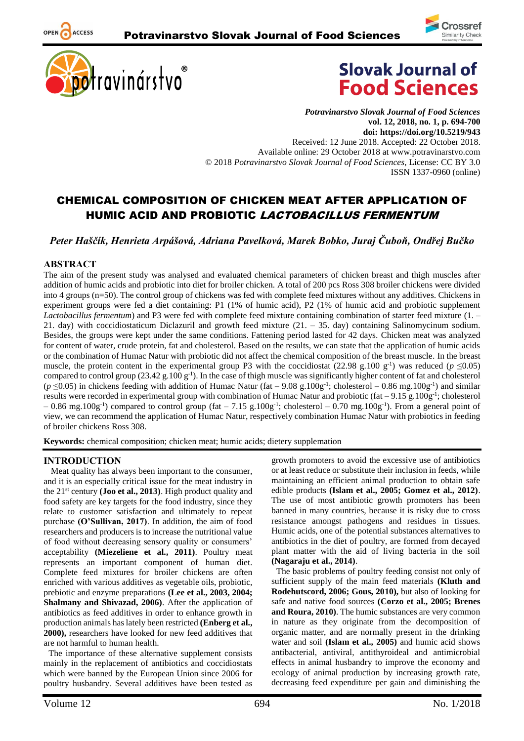





*Potravinarstvo Slovak Journal of Food Sciences* **vol. 12, 2018, no. 1, p. 694-700 doi: https://doi.org/10.5219/943** Received: 12 June 2018. Accepted: 22 October 2018. Available online: 29 October 2018 at www.potravinarstvo.com © 2018 *Potravinarstvo Slovak Journal of Food Sciences*, License: CC BY 3.0 ISSN 1337-0960 (online)

# CHEMICAL COMPOSITION OF CHICKEN MEAT AFTER APPLICATION OF HUMIC ACID AND PROBIOTIC LACTOBACILLUS FERMENTUM

*Peter Haščík, Henrieta Arpášová, Adriana Pavelková, Marek Bobko, Juraj Čuboň, Ondřej Bučko*

#### **ABSTRACT**

OPEN ACCESS

The aim of the present study was analysed and evaluated chemical parameters of chicken breast and thigh muscles after addition of humic acids and probiotic into diet for broiler chicken. A total of 200 pcs Ross 308 broiler chickens were divided into 4 groups (n=50). The control group of chickens was fed with complete feed mixtures without any additives. Chickens in experiment groups were fed a diet containing: P1 (1% of humic acid), P2 (1% of humic acid and probiotic supplement *Lactobacillus fermentum*) and P3 were fed with complete feed mixture containing combination of starter feed mixture (1. – 21. day) with coccidiostaticum Diclazuril and growth feed mixture (21. – 35. day) containing Salinomycinum sodium. Besides, the groups were kept under the same conditions. Fattening period lasted for 42 days. Chicken meat was analyzed for content of water, crude protein, fat and cholesterol. Based on the results, we can state that the application of humic acids or the combination of Humac Natur with probiotic did not affect the chemical composition of the breast muscle. In the breast muscle, the protein content in the experimental group P3 with the coccidiostat (22.98 g.100 g<sup>-1</sup>) was reduced ( $p \le 0.05$ ) compared to control group  $(23.42 \text{ g} \cdot 100 \text{ g}^{-1})$ . In the case of thigh muscle was significantly higher content of fat and cholesterol  $(p \le 0.05)$  in chickens feeding with addition of Humac Natur (fat  $-9.08$  g.100g<sup>-1</sup>; cholesterol  $-0.86$  mg.100g<sup>-1</sup>) and similar results were recorded in experimental group with combination of Humac Natur and probiotic (fat -9.15 g.100g<sup>-1</sup>; cholesterol  $-0.86$  mg.100g<sup>-1</sup>) compared to control group (fat  $-7.15$  g.100g<sup>-1</sup>; cholesterol  $-0.70$  mg.100g<sup>-1</sup>). From a general point of view, we can recommend the application of Humac Natur, respectively combination Humac Natur with probiotics in feeding of broiler chickens Ross 308.

**Keywords:** chemical composition; chicken meat; humic acids; dietery supplemation

#### **INTRODUCTION**

Meat quality has always been important to the consumer, and it is an especially critical issue for the meat industry in the 21st century **(Joo et al., 2013)**. High product quality and food safety are key targets for the food industry, since they relate to customer satisfaction and ultimately to repeat purchase **(O'Sullivan, 2017)**. In addition, the aim of food researchers and producers is to increase the nutritional value of food without decreasing sensory quality or consumers' acceptability **(Miezeliene et al., 2011)**. Poultry meat represents an important component of human diet. Complete feed mixtures for broiler chickens are often enriched with various additives as vegetable oils, probiotic, prebiotic and enzyme preparations **(Lee et al., 2003, 2004; Shalmany and Shivazad, 2006)**. After the application of antibiotics as feed additives in order to enhance growth in production animals has lately been restricted **(Enberg et al., 2000),** researchers have looked for new feed additives that are not harmful to human health.

The importance of these alternative supplement consists mainly in the replacement of antibiotics and coccidiostats which were banned by the European Union since 2006 for poultry husbandry. Several additives have been tested as

growth promoters to avoid the excessive use of antibiotics or at least reduce or substitute their inclusion in feeds, while maintaining an efficient animal production to obtain safe edible products **(Islam et al., 2005; Gomez et al., 2012)**. The use of most antibiotic growth promoters has been banned in many countries, because it is risky due to cross resistance amongst pathogens and residues in tissues. Humic acids, one of the potential substances alternatives to antibiotics in the diet of poultry, are formed from decayed plant matter with the aid of living bacteria in the soil **(Nagaraju et al., 2014)**.

The basic problems of poultry feeding consist not only of sufficient supply of the main feed materials **(Kluth and Rodehutscord, 2006; Gous, 2010),** but also of looking for safe and native food sources **(Corzo et al., 2005; Brenes and Roura, 2010)**. The humic substances are very common in nature as they originate from the decomposition of organic matter, and are normally present in the drinking water and soil **(Islam et al., 2005)** and humic acid shows antibacterial, antiviral, antithyroideal and antimicrobial effects in animal husbandry to improve the economy and ecology of animal production by increasing growth rate, decreasing feed expenditure per gain and diminishing the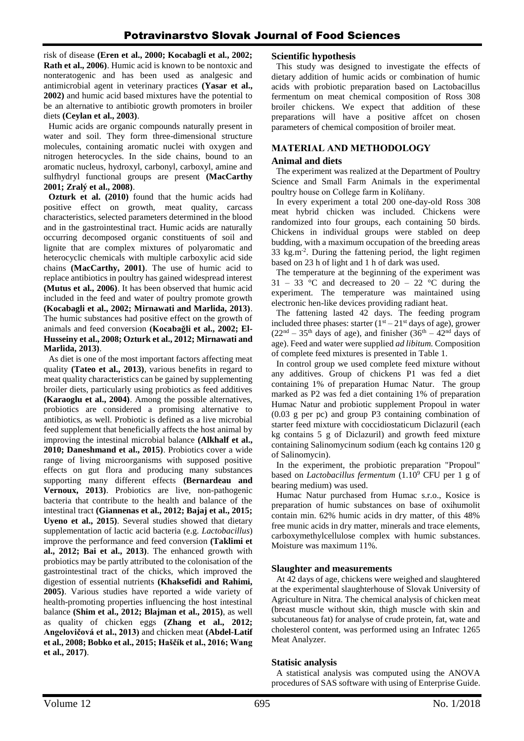risk of disease **(Eren et al., 2000; Kocabagli et al., 2002; Rath et al., 2006)**. Humic acid is known to be nontoxic and nonteratogenic and has been used as analgesic and antimicrobial agent in veterinary practices **(Yasar et al., 2002)** and humic acid based mixtures have the potential to be an alternative to antibiotic growth promoters in broiler diets **(Ceylan et al., 2003)**.

Humic acids are organic compounds naturally present in water and soil. They form three-dimensional structure molecules, containing aromatic nuclei with oxygen and nitrogen heterocycles. In the side chains, bound to an aromatic nucleus, hydroxyl, carbonyl, carboxyl, amine and sulfhydryl functional groups are present **(MacCarthy 2001; Zralý et al., 2008)**.

**Ozturk et al. (2010)** found that the humic acids had positive effect on growth, meat quality, carcass characteristics, selected parameters determined in the blood and in the gastrointestinal tract. Humic acids are naturally occurring decomposed organic constituents of soil and lignite that are complex mixtures of polyaromatic and heterocyclic chemicals with multiple carboxylic acid side chains **(MacCarthy, 2001)**. The use of humic acid to replace antibiotics in poultry has gained widespread interest **(Mutus et al., 2006)**. It has been observed that humic acid included in the feed and water of poultry promote growth **(Kocabagli et al., 2002; Mirnawati and Marlida, 2013)**. The humic substances had positive effect on the growth of animals and feed conversion **(Kocabağli et al., 2002; El-Husseiny et al., 2008; Ozturk et al., 2012; Mirnawati and Marlida, 2013)**.

As diet is one of the most important factors affecting meat quality **(Tateo et al., 2013)**, various benefits in regard to meat quality characteristics can be gained by supplementing broiler diets, particularly using probiotics as feed additives **(Karaoglu et al., 2004)**. Among the possible alternatives, probiotics are considered a promising alternative to antibiotics, as well. Probiotic is defined as a live microbial feed supplement that beneficially affects the host animal by improving the intestinal microbial balance **(Alkhalf et al., 2010; Daneshmand et al., 2015)**. Probiotics cover a wide range of living microorganisms with supposed positive effects on gut flora and producing many substances supporting many different effects **(Bernardeau and Vernoux, 2013)**. Probiotics are live, non-pathogenic bacteria that contribute to the health and balance of the intestinal tract **(Giannenas et al., 2012; Bajaj et al., 2015; Uyeno et al., 2015)**. Several studies showed that dietary supplementation of lactic acid bacteria (e.g. *Lactobacillus*) improve the performance and feed conversion **(Taklimi et al., 2012; Bai et al., 2013)**. The enhanced growth with probiotics may be partly attributed to the colonisation of the gastrointestinal tract of the chicks, which improved the digestion of essential nutrients **(Khaksefidi and Rahimi, 2005)**. Various studies have reported a wide variety of health-promoting properties influencing the host intestinal balance **(Shim et al., 2012; Blajman et al., 2015)**, as well as quality of chicken eggs **(Zhang et al., 2012; Angelovičová et al., 2013)** and chicken meat **(Abdel-Latif et al., 2008; Bobko et al., 2015; Haščík et al., 2016; Wang et al., 2017)**.

## **Scientific hypothesis**

This study was designed to investigate the effects of dietary addition of humic acids or combination of humic acids with probiotic preparation based on Lactobacillus fermentum on meat chemical composition of Ross 308 broiler chickens. We expect that addition of these preparations will have a positive affcet on chosen parameters of chemical composition of broiler meat.

## **MATERIAL AND METHODOLOGY**

#### **Animal and diets**

The experiment was realized at the Department of Poultry Science and Small Farm Animals in the experimental poultry house on College farm in Kolíňany.

In every experiment a total 200 one-day-old Ross 308 meat hybrid chicken was included. Chickens were randomized into four groups, each containing 50 birds. Chickens in individual groups were stabled on deep budding, with a maximum occupation of the breeding areas 33 kg.m-2 . During the fattening period, the light regimen based on 23 h of light and 1 h of dark was used.

The temperature at the beginning of the experiment was 31 – 33 °C and decreased to 20 – 22 °C during the experiment. The temperature was maintained using electronic hen-like devices providing radiant heat.

The fattening lasted 42 days. The feeding program included three phases: starter  $(1<sup>st</sup> - 21<sup>st</sup>$  days of age), grower  $(22<sup>nd</sup> – 35<sup>th</sup>$  days of age), and finisher  $(36<sup>th</sup> – 42<sup>nd</sup>$  days of age). Feed and water were supplied *ad libitum.* Composition of complete feed mixtures is presented in Table 1.

In control group we used complete feed mixture without any additives. Group of chickens P1 was fed a diet containing 1% of preparation Humac Natur. The group marked as P2 was fed a diet containing 1% of preparation Humac Natur and probiotic supplement Propoul in water (0.03 g per pc) and group P3 containing combination of starter feed mixture with coccidiostaticum Diclazuril (each kg contains 5 g of Diclazuril) and growth feed mixture containing Salinomycinum sodium (each kg contains 120 g of Salinomycin).

In the experiment, the probiotic preparation "Propoul" based on *Lactobacillus fermentum* (1.10<sup>9</sup> CFU per 1 g of bearing medium) was used.

Humac Natur purchased from Humac s.r.o., Kosice is preparation of humic substances on base of oxihumolit contain min. 62% humic acids in dry matter, of this 48% free munic acids in dry matter, minerals and trace elements, carboxymethylcellulose complex with humic substances. Moisture was maximum 11%.

## **Slaughter and measurements**

At 42 days of age, chickens were weighed and slaughtered at the experimental slaughterhouse of Slovak University of Agriculture in Nitra. The chemical analysis of chicken meat (breast muscle without skin, thigh muscle with skin and subcutaneous fat) for analyse of crude protein, fat, wate and cholesterol content, was performed using an Infratec 1265 Meat Analyzer.

## **Statisic analysis**

A statistical analysis was computed using the ANOVA procedures of SAS software with using of Enterprise Guide.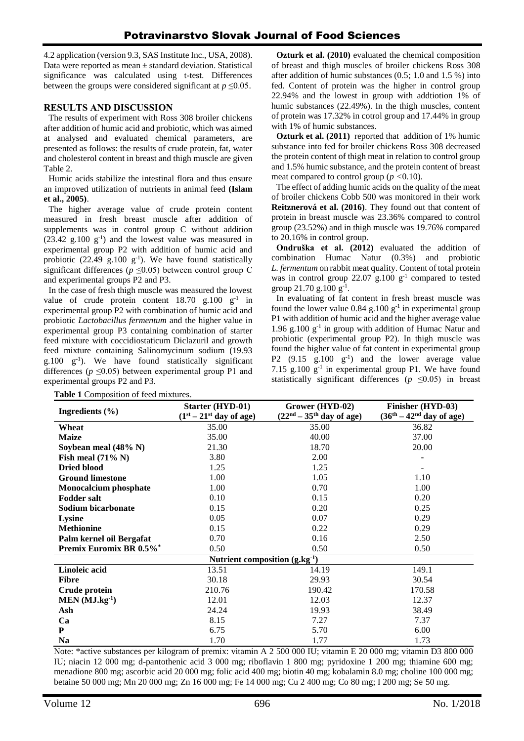4.2 application (version 9.3, SAS Institute Inc., USA, 2008). Data were reported as mean  $\pm$  standard deviation. Statistical significance was calculated using t-test. Differences between the groups were considered significant at  $p \leq 0.05$ .

## **RESULTS AND DISCUSSION**

The results of experiment with Ross 308 broiler chickens after addition of humic acid and probiotic, which was aimed at analysed and evaluated chemical parameters, are presented as follows: the results of crude protein, fat, water and cholesterol content in breast and thigh muscle are given Table 2.

Humic acids stabilize the intestinal flora and thus ensure an improved utilization of nutrients in animal feed **(Islam et al., 2005)**.

The higher average value of crude protein content measured in fresh breast muscle after addition of supplements was in control group C without addition  $(23.42 \text{ g}.100 \text{ g}^{-1})$  and the lowest value was measured in experimental group P2 with addition of humic acid and probiotic  $(22.49 \text{ g}.100 \text{ g}^{-1})$ . We have found statistically significant differences ( $p \le 0.05$ ) between control group C and experimental groups P2 and P3.

In the case of fresh thigh muscle was measured the lowest value of crude protein content  $18.70$  g. $100$  g<sup>-1</sup> in experimental group P2 with combination of humic acid and probiotic *Lactobacillus fermentum* and the higher value in experimental group P3 containing combination of starter feed mixture with coccidiostaticum Diclazuril and growth feed mixture containing Salinomycinum sodium (19.93 g.100 g -1 ). We have found statistically significant differences ( $p \le 0.05$ ) between experimental group P1 and experimental groups P2 and P3.

**Ozturk et al. (2010)** evaluated the chemical composition of breast and thigh muscles of broiler chickens Ross 308 after addition of humic substances (0.5; 1.0 and 1.5 %) into fed. Content of protein was the higher in control group 22.94% and the lowest in group with addtiotion 1% of humic substances (22.49%). In the thigh muscles, content of protein was 17.32% in cotrol group and 17.44% in group with 1% of humic substances.

**Ozturk et al. (2011)** reported that addition of 1% humic substance into fed for broiler chickens Ross 308 decreased the protein content of thigh meat in relation to control group and 1.5% humic substance, and the protein content of breast meat compared to control group ( $p < 0.10$ ).

The effect of adding humic acids on the quality of the meat of broiler chickens Cobb 500 was monitored in their work **Reitznerová et al. (2016)**. They found out that content of protein in breast muscle was 23.36% compared to control group (23.52%) and in thigh muscle was 19.76% compared to 20.16% in control group.

**Ondruška et al. (2012)** evaluated the addition of combination Humac Natur (0.3%) and probiotic *L. fermentum* on rabbit meat quality. Content of total protein was in control group  $22.07$  g.100  $g^{-1}$  compared to tested group 21.70 g.100  $g^{-1}$ .

In evaluating of fat content in fresh breast muscle was found the lower value  $0.84$  g.100  $g^{-1}$  in experimental group P1 with addition of humic acid and the higher average value 1.96 g.100  $g^{-1}$  in group with addition of Humac Natur and probiotic (experimental group P2). In thigh muscle was found the higher value of fat content in experimental group P2  $(9.15 \text{ g}.100 \text{ g}^{-1})$  and the lower average value 7.15  $g.100 \, g^{-1}$  in experimental group P1. We have found statistically significant differences ( $p \le 0.05$ ) in breast

|                                    | Starter (HYD-01)          | Grower (HYD-02)            | Finisher (HYD-03)          |  |  |  |
|------------------------------------|---------------------------|----------------------------|----------------------------|--|--|--|
| Ingredients $(\% )$                | $(1st – 21st$ day of age) | $(22nd – 35th$ day of age) | $(36th – 42nd day of age)$ |  |  |  |
| Wheat                              | 35.00                     | 35.00                      | 36.82                      |  |  |  |
| <b>Maize</b>                       | 35.00                     | 40.00                      | 37.00                      |  |  |  |
| Soybean meal (48% N)               | 21.30                     | 18.70                      | 20.00                      |  |  |  |
| Fish meal $(71\% N)$               | 3.80                      | 2.00                       |                            |  |  |  |
| <b>Dried blood</b>                 | 1.25                      | 1.25                       |                            |  |  |  |
| <b>Ground limestone</b>            | 1.00                      | 1.05                       | 1.10                       |  |  |  |
| <b>Monocalcium</b> phosphate       | 1.00                      | 0.70                       | 1.00                       |  |  |  |
| <b>Fodder salt</b>                 | 0.10                      | 0.15                       | 0.20                       |  |  |  |
| Sodium bicarbonate                 | 0.15                      | 0.20                       | 0.25                       |  |  |  |
| Lysine                             | 0.05                      | 0.07                       | 0.29                       |  |  |  |
| <b>Methionine</b>                  | 0.15                      | 0.22                       | 0.29                       |  |  |  |
| Palm kernel oil Bergafat           | 0.70                      | 0.16                       | 2.50                       |  |  |  |
| Premix Euromix BR 0.5%*            | 0.50                      | 0.50                       | 0.50                       |  |  |  |
| Nutrient composition $(g.kg^{-1})$ |                           |                            |                            |  |  |  |
| Linoleic acid                      | 13.51                     | 14.19                      | 149.1                      |  |  |  |
| <b>Fibre</b>                       | 30.18                     | 29.93                      | 30.54                      |  |  |  |
| Crude protein                      | 210.76                    | 190.42                     | 170.58                     |  |  |  |
| $MEN (MJ.kg-1)$                    | 12.01                     | 12.03                      | 12.37                      |  |  |  |
| Ash                                | 24.24                     | 19.93                      | 38.49                      |  |  |  |
| Ca                                 | 8.15                      | 7.27                       | 7.37                       |  |  |  |
| P                                  | 6.75                      | 5.70                       | 6.00                       |  |  |  |
| <b>Na</b>                          | 1.70                      | 1.77                       | 1.73                       |  |  |  |

**Table 1** Composition of feed mixtures.

Note: \*active substances per kilogram of premix: vitamin A 2 500 000 IU; vitamin E 20 000 mg; vitamin D3 800 000 IU; niacin 12 000 mg; d-pantothenic acid 3 000 mg; riboflavin 1 800 mg; pyridoxine 1 200 mg; thiamine 600 mg; menadione 800 mg; ascorbic acid 20 000 mg; folic acid 400 mg; biotin 40 mg; kobalamin 8.0 mg; choline 100 000 mg; betaine 50 000 mg; Mn 20 000 mg; Zn 16 000 mg; Fe 14 000 mg; Cu 2 400 mg; Co 80 mg; I 200 mg; Se 50 mg.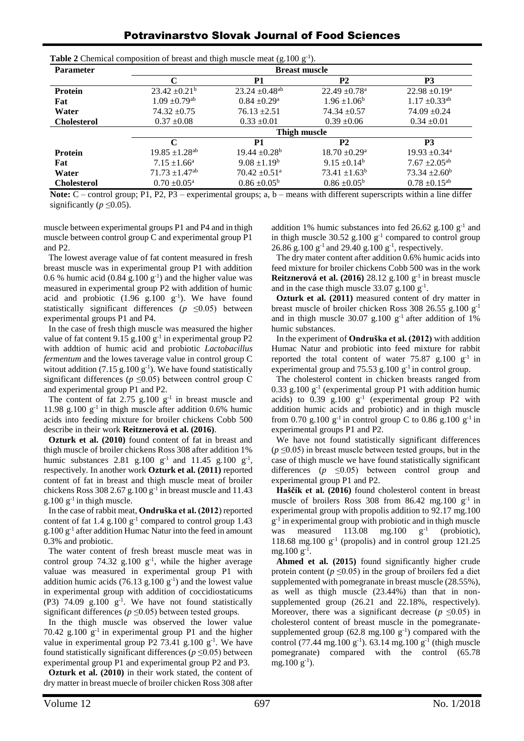| <b>Potravinarstvo Slovak Journal of Food Sciences</b> |  |  |
|-------------------------------------------------------|--|--|
|-------------------------------------------------------|--|--|

| <b>Parameter</b>   | <b>Breast muscle</b>           |                                |                               |                               |  |  |
|--------------------|--------------------------------|--------------------------------|-------------------------------|-------------------------------|--|--|
|                    | C                              | P1                             | <b>P2</b>                     | <b>P3</b>                     |  |  |
| <b>Protein</b>     | $23.42 \pm 0.21^b$             | $23.24 \pm 0.48$ <sup>ab</sup> | $22.49 \pm 0.78$ <sup>a</sup> | $22.98 \pm 0.19^a$            |  |  |
| Fat                | $1.09 \pm 0.79$ <sup>ab</sup>  | $0.84 \pm 0.29$ <sup>a</sup>   | $1.96 \pm 1.06^b$             | $1.17 \pm 0.33^{ab}$          |  |  |
| Water              | $74.32 \pm 0.75$               | $76.13 \pm 2.51$               | $74.34 \pm 0.57$              | $74.09 \pm 0.24$              |  |  |
| <b>Cholesterol</b> | $0.37 \pm 0.08$                | $0.33 \pm 0.01$                | $0.39 \pm 0.06$               | $0.34 \pm 0.01$               |  |  |
|                    | Thigh muscle                   |                                |                               |                               |  |  |
|                    | C                              | P <sub>1</sub>                 | <b>P2</b>                     | <b>P3</b>                     |  |  |
| <b>Protein</b>     | $19.85 \pm 1.28$ <sup>ab</sup> | $19.44 \pm 0.28^b$             | $18.70 \pm 0.29$ <sup>a</sup> | $19.93 \pm 0.34$ <sup>a</sup> |  |  |
| Fat                | $7.15 \pm 1.66^{\circ}$        | $9.08 \pm 1.19^b$              | $9.15 \pm 0.14^b$             | $7.67 \pm 2.05$ <sup>ab</sup> |  |  |
| Water              | $71.73 \pm 1.47$ <sup>ab</sup> | $70.42 \pm 0.51$ <sup>a</sup>  | $73.41 \pm 1.63^b$            | $73.34 \pm 2.60^b$            |  |  |
| <b>Cholesterol</b> | $0.70 \pm 0.05^{\text{a}}$     | $0.86 \pm 0.05^{\rm b}$        | $0.86 \pm 0.05^b$             | $0.78 \pm 0.15^{ab}$          |  |  |

**Table 2** Chemical composition of breast and thigh muscle meat  $(g.100 g<sup>-1</sup>)$ .

**Note:** C – control group; P1, P2, P3 – experimental groups; a, b – means with different superscripts within a line differ significantly ( $p \leq 0.05$ ).

muscle between experimental groups P1 and P4 and in thigh muscle between control group C and experimental group P1 and P2.

The lowest average value of fat content measured in fresh breast muscle was in experimental group P1 with addition 0.6 % humic acid (0.84  $g$ .100  $g^{-1}$ ) and the higher value was measured in experimental group P2 with addition of humic acid and probiotic  $(1.96 \text{ g}.100 \text{ g}^{-1})$ . We have found statistically significant differences ( $p \le 0.05$ ) between experimental groups P1 and P4.

In the case of fresh thigh muscle was measured the higher value of fat content 9.15  $g.100 g<sup>-1</sup>$  in experimental group P2 with addtion of humic acid and probiotic *Lactobacillus fermentum* and the lowes taverage value in control group C witout addition (7.15 g.100  $g^{-1}$ ). We have found statistically significant differences ( $p \leq 0.05$ ) between control group C and experimental group P1 and P2.

The content of fat 2.75  $g.100 \text{ g}^{-1}$  in breast muscle and 11.98  $g.100 \, g^{-1}$  in thigh muscle after addition 0.6% humic acids into feeding mixture for broiler chickens Cobb 500 describe in their work **Reitznerová et al. (2016)**.

**Ozturk et al. (2010)** found content of fat in breast and thigh muscle of broiler chickens Ross 308 after addition 1% humic substances 2.81 g.100  $g^{-1}$  and 11.45 g.100  $g^{-1}$ , respectively. In another work **Ozturk et al. (2011)** reported content of fat in breast and thigh muscle meat of broiler chickens Ross 308 2.67 g.100  $g^{-1}$  in breast muscle and 11.43  $g.100 g<sup>-1</sup>$  in thigh muscle.

In the case of rabbit meat, **Ondruška et al. (2012**) reported content of fat  $1.4 \text{ g}.100 \text{ g}^{-1}$  compared to control group 1.43 g.100 g -1 after addition Humac Natur into the feed in amount 0.3% and probiotic.

The water content of fresh breast muscle meat was in control group  $74.32$  g.100  $g^{-1}$ , while the higher average valuae was measured in experimental group P1 with addition humic acids  $(76.13 \text{ g}.100 \text{ g}^{-1})$  and the lowest value in experimental group with addition of coccidiostaticums (P3) 74.09  $g$ .100  $g^{-1}$ . We have not found statistically significant differences ( $p \le 0.05$ ) between tested groups.

In the thigh muscle was observed the lower value 70.42  $g.100\ g^{-1}$  in experimental group P1 and the higher value in experimental group P2 73.41 g.100  $g^{-1}$ . We have found statistically significant differences ( $p \le 0.05$ ) between experimental group P1 and experimental group P2 and P3.

**Ozturk et al. (2010)** in their work stated, the content of dry matter in breast muecle of broiler chicken Ross 308 after addition 1% humic substances into fed 26.62 g.100  $g^{-1}$  and in thigh muscle  $30.52$  g.100  $g^{-1}$  compared to control group 26.86 g.100  $g^{-1}$  and 29.40 g.100  $g^{-1}$ , respectively.

The dry mater content after addition 0.6% humic acids into feed mixture for broiler chickens Cobb 500 was in the work **Reitznerová et al. (2016)** 28.12 g.100 g<sup>-1</sup> in breast muscle and in the case thigh muscle  $33.07$  g.100 g<sup>-1</sup>.

**Ozturk et al. (2011)** measured content of dry matter in breast muscle of broiler chicken Ross 308 26.55 g.100 g<sup>-1</sup> and in thigh muscle  $30.07$  g.100 g<sup>-1</sup> after addition of 1% humic substances.

In the experiment of **Ondruška et al. (2012)** with addition Humac Natur and probiotic into feed mixture for rabbit reported the total content of water  $75.87 \text{ g}.100 \text{ g}^{-1}$  in experimental group and  $75.53$  g.100  $g^{-1}$  in control group.

The cholesterol content in chicken breasts ranged from  $0.33$  g.100  $g^{-1}$  (experimental group P1 with addition humic acids) to  $0.39$  g.100  $g^{-1}$  (experimental group P2 with addition humic acids and probiotic) and in thigh muscle from 0.70 g.100  $g^{-1}$  in control group C to 0.86 g.100  $g^{-1}$  in experimental groups P1 and P2.

We have not found statistically significant differences  $(p \le 0.05)$  in breast muscle between tested groups, but in the case of thigh muscle we have found statistically significant differences  $(p \leq 0.05)$  between control group and experimental group P1 and P2.

**Haščík et al. (2016)** found cholesterol content in breast muscle of broilers Ross 308 from 86.42 mg.100  $g^{-1}$  in experimental group with propolis addition to 92.17 mg.100 g<sup>-1</sup> in experimental group with probiotic and in thigh muscle was measured  $113.08$  mg.100  $g^{-1}$ (probiotic), 118.68 mg.100  $g^{-1}$  (propolis) and in control group 121.25  $mg.100 g^{-1}$ .

**Ahmed et al. (2015)** found significantly higher crude protein content ( $p \le 0.05$ ) in the group of broilers fed a diet supplemented with pomegranate in breast muscle (28.55%), as well as thigh muscle (23.44%) than that in nonsupplemented group (26.21 and 22.18%, respectively). Moreover, there was a significant decrease ( $p \le 0.05$ ) in cholesterol content of breast muscle in the pomegranatesupplemented group  $(62.8 \text{ mg}.100 \text{ g}^{-1})$  compared with the control (77.44 mg.100  $g^{-1}$ ). 63.14 mg.100  $g^{-1}$  (thigh muscle pomegranate) compared with the control (65.78 mg.100 $g^{-1}$ ).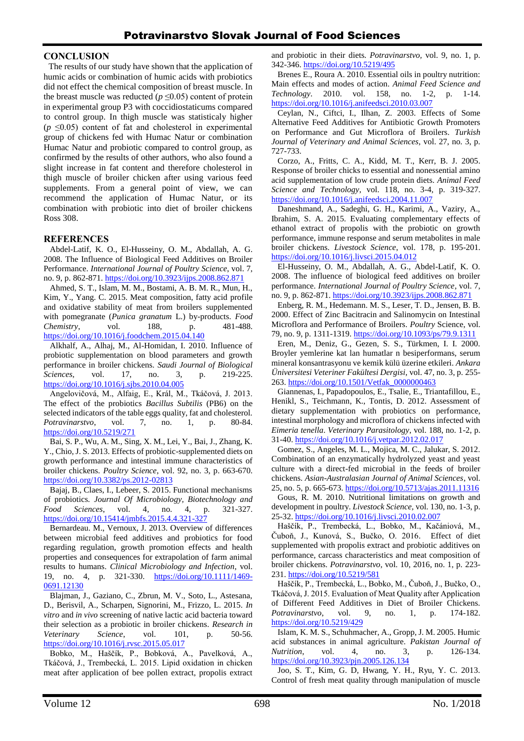#### **CONCLUSION**

The results of our study have shown that the application of humic acids or combination of humic acids with probiotics did not effect the chemical composition of breast muscle. In the breast muscle was reducted ( $p \le 0.05$ ) content of protein in experimental group P3 with coccidiostaticums compared to control group. In thigh muscle was statisticaly higher  $(p \leq 0.05)$  content of fat and cholesterol in experimental group of chickens fed with Humac Natur or combination Humac Natur and probiotic compared to control group, as confirmed by the results of other authors, who also found a slight increase in fat content and therefore cholesterol in thigh muscle of broiler chicken after using various feed supplements. From a general point of view, we can recommend the application of Humac Natur, or its combination with probiotic into diet of broiler chickens Ross 308.

## **REFERENCES**

Abdel-Latif, K. O., El-Husseiny, O. M., Abdallah, A. G. 2008. The Influence of Biological Feed Additives on Broiler Performance. *International Journal of Poultry Science*, vol. 7, no. 9, p. 862-871. <https://doi.org/10.3923/ijps.2008.862.871>

Ahmed, S. T., Islam, M. M., Bostami, A. B. M. R., Mun, H., Kim, Y., Yang. C. 2015. Meat composition, fatty acid profile and oxidative stability of meat from broilers supplemented with pomegranate (*Punica granatum* L.) by-products. *Food Chemistry*, vol. 188, p. 481-488. <https://doi.org/10.1016/j.foodchem.2015.04.140>

Alkhalf, A., Alhaj, M., Al-Homidan, I. 2010. Influence of probiotic supplementation on blood parameters and growth performance in broiler chickens. *Saudi Journal of Biological Sciences*, vol. 17, no. 3, p. 219-225. <https://doi.org/10.1016/j.sjbs.2010.04.005>

Angelovičová, M., Alfaig, E., Král, M., Tkáčová, J. 2013. The effect of the probiotics *Bacillus Subtilis* (PB6) on the selected indicators of the table eggs quality, fat and cholesterol. *Potravinarstvo*, vol. 7, no. 1, p. 80-84. <https://doi.org/10.5219/271>

Bai, S. P., Wu, A. M., Sing, X. M., Lei, Y., Bai, J., Zhang, K. Y., Chio, J. S. 2013. Effects of probiotic-supplemented diets on growth performance and intestinal immune characteristics of broiler chickens. *Poultry Science*, vol. 92, no. 3, p. 663-670. <https://doi.org/10.3382/ps.2012-02813>

Bajaj, B., Claes, I., Lebeer, S. 2015. Functional mechanisms of probiotics. *Journal Of Microbiology, Biotechnology and Food Sciences*, vol. 4, no. 4, p. 321-327. <https://doi.org/10.15414/jmbfs.2015.4.4.321-327>

Bernardeau. M., Vernoux, J. 2013. Overview of differences between microbial feed additives and probiotics for food regarding regulation, growth promotion effects and health properties and consequences for extrapolation of farm animal results to humans. *Clinical Microbiology and Infection*, vol. 19, no. 4, p. 321-330. [https://doi.org/10.1111/1469-](https://doi.org/10.1111/1469-0691.12130) [0691.12130](https://doi.org/10.1111/1469-0691.12130)

Blajman, J., Gaziano, C., Zbrun, M. V., Soto, L., Astesana, D., Berisvil, A., Scharpen, Signorini, M., Frizzo, L. 2015. *In vitro* and *in vivo* screening of native lactic acid bacteria toward their selection as a probiotic in broiler chickens. *Research in Veterinary Science*, vol. 101, p. 50-56. <https://doi.org/10.1016/j.rvsc.2015.05.017>

Bobko, M., Haščík, P., Bobková, A., Pavelková, A., Tkáčová, J., Trembecká, L. 2015. Lipid oxidation in chicken meat after application of bee pollen extract, propolis extract and probiotic in their diets. *Potravinarstvo,* vol. 9, no. 1, p. 342-346. <https://doi.org/10.5219/495>

Brenes E., Roura A. 2010. Essential oils in poultry nutrition: Main effects and modes of action. *Animal Feed Science and Technology*. 2010. vol. 158, no. 1-2, p. 1-14. <https://doi.org/10.1016/j.anifeedsci.2010.03.007>

Ceylan, N., Ciftci, I., Ilhan, Z. 2003. Effects of Some Alternative Feed Additives for Antibiotic Growth Promoters on Performance and Gut Microflora of Broilers. *[Turkish](https://www.researchgate.net/journal/1300-0128_Turkish_Journal_of_Veterinary_and_Animal_Sciences)  [Journal of Veterinary and Animal Sciences](https://www.researchgate.net/journal/1300-0128_Turkish_Journal_of_Veterinary_and_Animal_Sciences)*, vol. 27, no. 3, p. 727-733.

Corzo, A., Fritts, C. A., Kidd, M. T., Kerr, B. J. 2005. Response of broiler chicks to essential and nonessential amino acid supplementation of low crude protein diets. *Animal Feed Science and Technology*, vol. 118, no. 3-4, p. 319-327. <https://doi.org/10.1016/j.anifeedsci.2004.11.007>

Daneshmand, A., Sadeghi, G. H., Karimi, A., Vaziry, A., Ibrahim, S. A. 2015. Evaluating complementary effects of ethanol extract of propolis with the probiotic on growth performance, immune response and serum metabolites in male broiler chickens. *Livestock Science*, vol. 178, p. 195-201. <https://doi.org/10.1016/j.livsci.2015.04.012>

El-Husseiny, O. M., Abdallah, A. G., Abdel-Latif, K. O. 2008. The influence of biological feed additives on broiler performance. *International Journal of Poultry Science*, vol. 7, no. 9, p. 862-871. <https://doi.org/10.3923/ijps.2008.862.871>

Enberg, R. M., Hedemann. M. S., Leser, T. D., Jensen, B. B. 2000. Effect of Zinc Bacitracin and Salinomycin on Intestinal Microflora and Performance of Broilers. *Poultry* Science, vol. 79, no. 9, p. 1311-1319. <https://doi.org/10.1093/ps/79.9.1311>

Eren, M., Deniz, G., Gezen, S. S., Türkmen, I. I. 2000. Broyler yemlerine kat lan humatlar n besiperformans, serum mineral konsantrasyonu ve kemik külü üzerine etkileri. *Ankara Üniversitesi Veteriner Fakültesi Dergisi*, vol. 47, no. 3, p. 255- 263. [https://doi.org/10.1501/Vetfak\\_0000000463](https://doi.org/10.1501/Vetfak_0000000463)

Giannenas, I., Papadopoulos, E., Tsalie, E., Triantafillou, E., Henikl, S., Teichmann, K., Tontis, D. 2012. Assessment of dietary supplementation with probiotics on performance, intestinal morphology and microflora of chickens infected with *Eimeria tenella*. *Veterinary Parasitology*, vol. 188, no. 1-2, p. 31-40. <https://doi.org/10.1016/j.vetpar.2012.02.017>

Gomez, S., Angeles, M. L., Mojica, M. C., Jalukar, S. 2012. Combination of an enzymatically hydrolyzed yeast and yeast culture with a direct-fed microbial in the feeds of broiler chickens. *Asian-Australasian Journal of Animal Sciences*, vol. 25, no. 5, p. 665-673. <https://doi.org/10.5713/ajas.2011.11316>

Gous, R. M. 2010. Nutritional limitations on growth and development in poultry. *Livestock Science,* vol. 130, no. 1-3, p. 25-32. <https://doi.org/10.1016/j.livsci.2010.02.007>

Haščík, P., Trembecká, L., Bobko, M., Kačániová, M., Čuboň, J., Kunová, S., Bučko, O. 2016*.* Effect of diet supplemented with propolis extract and probiotic additives on performance, carcass characteristics and meat composition of broiler chickens. *Potravinarstvo*, vol. 10, 2016, no. 1, p. 223- 231. <https://doi.org/10.5219/581>

Haščík, P., Trembecká, L., Bobko, M., Čuboň, J., Bučko, O., Tkáčová, J. 2015. Evaluation of Meat Quality after Application of Different Feed Additives in Diet of Broiler Chickens. *Potravinarstvo*, vol. 9, no. 1, p. 174-182. <https://doi.org/10.5219/429>

Islam, K. M. S., Schuhmacher, A., Gropp, J. M. 2005. Humic acid substances in animal agriculture. *Pakistan Journal of Nutrition*, vol. 4, no. 3, p. 126-134. <https://doi.org/10.3923/pjn.2005.126.134>

Joo, S. T., Kim, G. D, Hwang, Y. H., Ryu, Y. C. 2013. Control of fresh meat quality through manipulation of muscle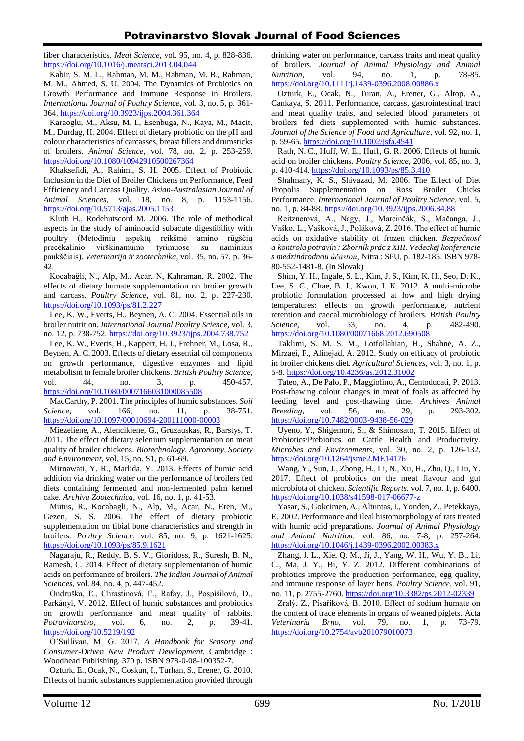fiber characteristics. *Meat Science*, vol. 95, no. 4, p. 828-836. <https://doi.org/10.1016/j.meatsci.2013.04.044>

Kabir, S. M. L., Rahman, M. M., Rahman, M. B., Rahman, M. M., Ahmed, S. U. 2004. The Dynamics of Probiotics on Growth Performance and Immune Response in Broilers. *International Journal of Poultry Science*, vol. 3, no. 5, p. 361- 364. <https://doi.org/10.3923/ijps.2004.361.364>

Karaoglu, M., Aksu, M. I., Esenbuga, N., Kaya, M., Macit, M., Durdag, H. 2004. Effect of dietary probiotic on the pH and colour characteristics of carcasses, breast fillets and drumsticks of broilers. *Animal Science*, vol. 78, no. 2, p. 253-259. <https://doi.org/10.1080/10942910500267364>

Khaksefidi, A., Rahimi, S. H. 2005. Effect of Probiotic Inclusion in the Diet of Broiler Chickens on Performance, Feed Efficiency and Carcass Quality. *Asian-Australasian Journal of Animal Sciences*, vol. 18, no. 8, p. 1153-1156. <https://doi.org/10.5713/ajas.2005.1153>

Kluth H., Rodehutscord M. 2006. The role of methodical aspects in the study of aminoacid subacute digestibility with poultry (Metodinių aspektų reikšmė amino rūgščių precekalinio virškinamumo tyrimuose su naminiais paukščiais). *Veterinarija ir zootechnika*, vol. 35, no. 57, p. 36- 42.

Kocabağli, N., Alp, M., Acar, N, Kahraman, R. 2002. The effects of dietary humate supplemantation on broiler growth and carcass. *Poultry Science*, vol. 81, no. 2, p. 227-230. <https://doi.org/10.1093/ps/81.2.227>

Lee, K. W., Everts, H., Beynen, A. C. 2004. Essential oils in broiler nutrition. *International Journal Poultry Science,* vol. 3, no. 12, p. 738-752. <https://doi.org/10.3923/ijps.2004.738.752>

Lee, K. W., Everts, H., Kappert, H. J., Frehner, M., Losa, R., Beynen, A. C. 2003. Effects of dietary essential oil components on growth performance, digestive enzymes and lipid metabolism in female broiler chickens. *British Poultry Science*, vol. 44, no. 3, p. 450-457. <https://doi.org/10.1080/0007166031000085508>

MacCarthy, P. 2001. The principles of humic substances. *Soil Science*, vol. 166, no. 11, p. 38-751. <https://doi.org/10.1097/00010694-200111000-00003>

Miezeliene, A., Alencikiene, G., Gruzauskas, R., Barstys, T. 2011. The effect of dietary selenium supplementation on meat quality of broiler chickens. *Biotechnology, Agronomy, Society and Environment*, vol. 15, no. S1, p. 61-69.

Mirnawati, Y. R., Marlida, Y. 2013. Effects of humic acid addition via drinking water on the performance of broilers fed diets containing fermented and non-fermented palm kernel cake. *Archiva Zootechnica*, vol. 16, no. 1, p. 41-53.

Mutus, R., Kocabagli, N., Alp, M., Acar, N., Eren, M., Gezen, S. S. 2006. The effect of dietary probiotic supplementation on tibial bone characteristics and strength in broilers. *Poultry Science*, vol. 85, no. 9, p. 1621-1625. <https://doi.org/10.1093/ps/85.9.1621>

Nagaraju, R., Reddy, B. S. V., Gloridoss, R., Suresh, B. N., Ramesh, C. 2014. Effect of dietary supplementation of humic acids on performance of broilers. *The Indian Journal of Animal Sciences*, vol. 84, no. 4, p. 447-452.

Ondruška, Ľ., Chrastinová, Ľ., Rafay, J., Pospíšilová, D., Parkányi, V. 2012. Effect of humic substances and probiotics on growth performance and meat quality of rabbits. *Potravinarstvo*, vol. 6, no. 2, p. 39-41. <https://doi.org/10.5219/192>

O'Sullivan, M. G. 2017. *A Handbook for Sensory and Consumer-Driven New Product Development.* Cambridge : Woodhead Publishing. 370 p. ISBN 978-0-08-100352-7.

Ozturk, E., Ocak, N., Coskun, I., Turhan, S., Erener, G. 2010. Effects of humic substances supplementation provided through

drinking water on performance, carcass traits and meat quality of broilers. *Journal of Animal Physiology and Animal Nutrition*, vol. 94, no. 1, p. 78-85. <https://doi.org/10.1111/j.1439-0396.2008.00886.x>

Ozturk, E., Ocak, N., Turan, A., Erener, G., Altop, A., Cankaya, S. 2011. Performance, carcass, gastrointestinal tract and meat quality traits, and selected blood parameters of broilers fed diets supplemented with humic substances. *Journal of the Science of Food and Agriculture*, vol. 92, no. 1, p. 59-65. <https://doi.org/10.1002/jsfa.4541>

Rath, N. C., Huff, W. E., Huff, G. R. 2006. Effects of humic acid on broiler chickens. *Poultry Science*, 2006, vol. 85, no. 3, p. 410-414. <https://doi.org/10.1093/ps/85.3.410>

Shalmany, K. S., Shivazad, M. 2006. The Effect of Diet Propolis Supplementation on Ross Broiler Chicks Performance. *International Journal of Poultry Science*, vol. 5, no. 1, p. 84-88. <https://doi.org/10.3923/ijps.2006.84.88>

Reitznerová, A., Nagy, J., Marcinčák, S., Mačanga, J., Vaško, L., Vašková, J., Poláková, Z. 2016. The effect of humic acids on oxidative stability of frozen chicken. *Bezpečnosť a kontrola potravín : Zborník prác z XIII. Vedeckej konferencie s medzinárodnou účasťou*, Nitra : SPU, p. 182-185. ISBN 978- 80-552-1481-8. (In Slovak)

Shim, Y. H., Ingale, S. L., Kim, J. S., Kim, K. H., Seo, D. K., Lee, S. C., Chae, B. J., Kwon, I. K. 2012. A multi-microbe probiotic formulation processed at low and high drying temperatures: effects on growth performance, nutrient retention and caecal microbiology of broilers. *British Poultry Science*, vol. 53, no. 4, p. 482-490. <https://doi.org/10.1080/00071668.2012.690508>

Taklimi, S. M. S. M., Lotfollahian, H., Shahne, A. Z., Mirzaei, F., Alinejad, A. 2012. Study on efficacy of probiotic in broiler chickens diet. *Agricultural Sciences*, vol. 3, no. 1, p. 5-8. <https://doi.org/10.4236/as.2012.31002>

Tateo, A., De Palo, P., Maggiolino, A., Centoducati, P. 2013. Post-thawing colour changes in meat of foals as affected by feeding level and post-thawing time. *Archives Animal Breeding*, vol. 56, no. 29, p. 293-302. <https://doi.org/10.7482/0003-9438-56-029>

Uyeno, Y., Shigemori, S., & Shimosato, T. 2015. Effect of Probiotics/Prebiotics on Cattle Health and Productivity. *Microbes and Environments*, vol. 30, no. 2, p. 126-132. <https://doi.org/10.1264/jsme2.ME14176>

Wang, Y., Sun, J., Zhong, H., Li, N., Xu, H., Zhu, Q., Liu, Y. 2017. Effect of probiotics on the meat flavour and gut microbiota of chicken. *Scientific Reports.* vol. 7, no. 1, p. 6400. <https://doi.org/10.1038/s41598-017-06677-z>

Yasar, S., Gokcimen, A., Altuntas, I., Yonden, Z., Petekkaya, E. 2002. Performance and ileal histomorphology of rats treated with humic acid preparations. *Journal of Animal Physiology and Animal Nutrition*, vol. 86, no. 7-8, p. 257-264. <https://doi.org/10.1046/j.1439-0396.2002.00383.x>

Zhang, J. L., Xie, Q. M., Ji, J., Yang, W. H., Wu, Y. B., Li, C., Ma, J. Y., Bi, Y. Z. 2012. Different combinations of probiotics improve the production performance, egg quality, and immune response of layer hens. *Poultry Science*, vol. 91, no. 11, p. 2755-2760. <https://doi.org/10.3382/ps.2012-02339>

Zralý, Z., Písaříková, B. 2010. Effect of sodium humate on the content of trace elements in organs of weaned piglets. Acta *Veterinaria Brno*, vol. 79, no. 1, p. 73-79. <https://doi.org/10.2754/avb201079010073>